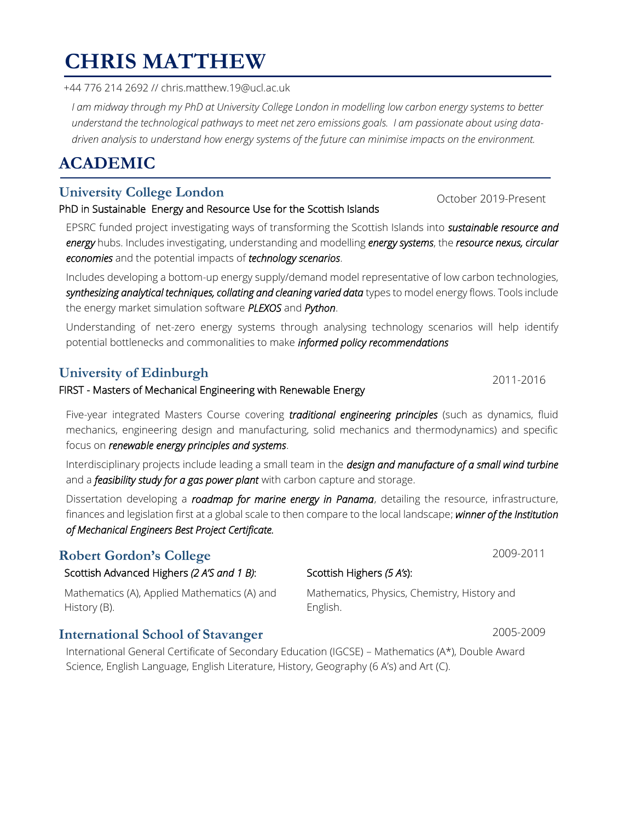### $\overline{a}$ **CHRIS MATTHEW**

 $\frac{1}{2}$ +44 776 214 2692 // chris.matthew.19@ucl.ac.uk

*I am midway through my PhD at University College London in modelling low carbon energy systems to better understand the technological pathways to meet net zero emissions goals. I am passionate about using datadriven analysis to understand how energy systems of the future can minimise impacts on the environment.*

# **ACADEMIC**

## **University College London** October 2019-Present

#### PhD in Sustainable Energy and Resource Use for the Scottish Islands

EPSRC funded project investigating ways of transforming the Scottish Islands into *sustainable resource and energy* hubs. Includes investigating, understanding and modelling *energy systems*, the *resource nexus, circular economies* and the potential impacts of *technology scenarios*.

Includes developing a bottom-up energy supply/demand model representative of low carbon technologies, *synthesizing analytical techniques, collating and cleaning varied data* types to model energy flows. Tools include the energy market simulation software *PLEXOS* and *Python*.

Understanding of net-zero energy systems through analysing technology scenarios will help identify potential bottlenecks and commonalities to make *informed policy recommendations*

## **University of Edinburgh** 2011-2016

#### FIRST - Masters of Mechanical Engineering with Renewable Energy

Five-year integrated Masters Course covering *traditional engineering principles* (such as dynamics, fluid mechanics, engineering design and manufacturing, solid mechanics and thermodynamics) and specific focus on *renewable energy principles and systems*.

Interdisciplinary projects include leading a small team in the *design and manufacture of a small wind turbine* and a *feasibility study for a gas power plant* with carbon capture and storage.

Dissertation developing a *roadmap for marine energy in Panama*, detailing the resource, infrastructure, finances and legislation first at a global scale to then compare to the local landscape; *winner of the Institution of Mechanical Engineers Best Project Certificate.*

## **Robert Gordon's College** 2009-2011

### Scottish Advanced Highers *(2 A'S and 1 B)*:

Mathematics (A), Applied Mathematics (A) and History (B).

## **International School of Stavanger** 2005-2009

International General Certificate of Secondary Education (IGCSE) – Mathematics (A\*), Double Award Science, English Language, English Literature, History, Geography (6 A's) and Art (C).

Scottish Highers *(5 A's*):

Mathematics, Physics, Chemistry, History and English.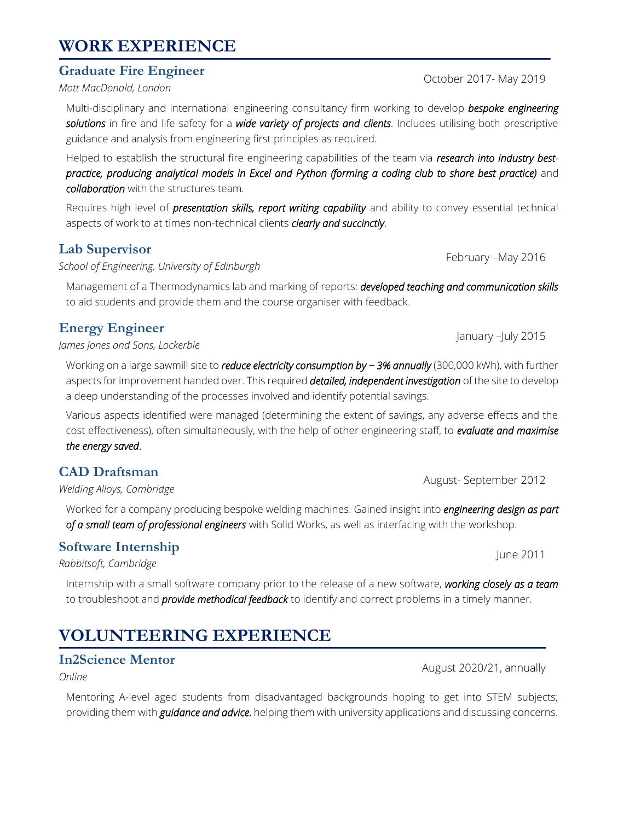## **WORK EXPERIENCE**

#### **Graduate Fire Engineer**

*Mott MacDonald, London*

Multi-disciplinary and international engineering consultancy firm working to develop *bespoke engineering solutions* in fire and life safety for a *wide variety of projects and clients*. Includes utilising both prescriptive guidance and analysis from engineering first principles as required.

Helped to establish the structural fire engineering capabilities of the team via *research into industry bestpractice, producing analytical models in Excel and Python (forming a coding club to share best practice)* and *collaboration* with the structures team.

Requires high level of *presentation skills, report writing capability* and ability to convey essential technical aspects of work to at times non-technical clients *clearly and succinctly*.

#### **Lab Supervisor**

*School of Engineering, University of Edinburgh*

Management of a Thermodynamics lab and marking of reports: *developed teaching and communication skills* to aid students and provide them and the course organiser with feedback.

### **Energy Engineer**

*James Jones and Sons, Lockerbie*

Working on a large sawmill site to *reduce electricity consumption by ~ 3% annually* (300,000 kWh), with further aspects for improvement handed over. This required *detailed, independent investigation* of the site to develop a deep understanding of the processes involved and identify potential savings.

Various aspects identified were managed (determining the extent of savings, any adverse effects and the cost effectiveness), often simultaneously, with the help of other engineering staff, to *evaluate and maximise the energy saved*.

#### **CAD Draftsman**

*Welding Alloys, Cambridge*

Worked for a company producing bespoke welding machines. Gained insight into *engineering design as part of a small team of professional engineers* with Solid Works, as well as interfacing with the workshop.

#### **Software Internship**

*Rabbitsoft, Cambridge*

Internship with a small software company prior to the release of a new software, *working closely as a team* to troubleshoot and *provide methodical feedback* to identify and correct problems in a timely manner.

## **VOLUNTEERING EXPERIENCE**

#### **In2Science Mentor**

*Online*

Mentoring A-level aged students from disadvantaged backgrounds hoping to get into STEM subjects; providing them with *guidance and advice*, helping them with university applications and discussing concerns.

August 2020/21, annually

January –July 2015

August- September 2012

June 2011

October 2017- May 2019

February –May 2016